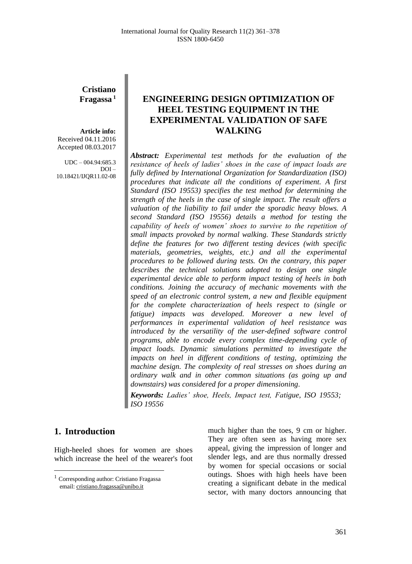**Cristiano Fragassa <sup>1</sup>**

**Article info:** Received 04.11.2016 Accepted 08.03.2017

 $UDC - 004.94:685.3$ DOI – 10.18421/IJQR11.02-08

## **ENGINEERING DESIGN OPTIMIZATION OF HEEL TESTING EQUIPMENT IN THE EXPERIMENTAL VALIDATION OF SAFE WALKING**

*Abstract: Experimental test methods for the evaluation of the resistance of heels of ladies' shoes in the case of impact loads are fully defined by International Organization for Standardization (ISO) procedures that indicate all the conditions of experiment. A first Standard (ISO 19553) specifies the test method for determining the strength of the heels in the case of single impact. The result offers a valuation of the liability to fail under the sporadic heavy blows. A second Standard (ISO 19556) details a method for testing the capability of heels of women' shoes to survive to the repetition of small impacts provoked by normal walking. These Standards strictly define the features for two different testing devices (with specific materials, geometries, weights, etc.) and all the experimental procedures to be followed during tests. On the contrary, this paper describes the technical solutions adopted to design one single experimental device able to perform impact testing of heels in both conditions. Joining the accuracy of mechanic movements with the speed of an electronic control system, a new and flexible equipment for the complete characterization of heels respect to (single or fatigue) impacts was developed. Moreover a new level of performances in experimental validation of heel resistance was introduced by the versatility of the user-defined software control programs, able to encode every complex time-depending cycle of impact loads. Dynamic simulations permitted to investigate the impacts on heel in different conditions of testing, optimizing the machine design. The complexity of real stresses on shoes during an ordinary walk and in other common situations (as going up and downstairs) was considered for a proper dimensioning.*

*Keywords: Ladies' shoe, Heels, Impact test, Fatigue, ISO 19553; ISO 19556*

### **1. Introduction<sup>1</sup>**

 $\overline{\phantom{a}}$ 

High-heeled shoes for women are shoes which increase the heel of the wearer's foot

much higher than the toes, 9 cm or higher. They are often seen as having more sex appeal, giving the impression of longer and slender legs, and are thus normally dressed by women for special occasions or social outings. Shoes with high heels have been creating a significant debate in the medical sector, with many doctors announcing that

<sup>&</sup>lt;sup>1</sup> Corresponding author: Cristiano Fragassa email: cristiano.fragassa@unibo.it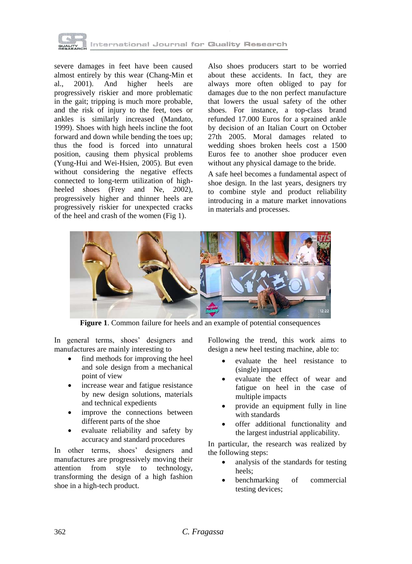

severe damages in feet have been caused almost entirely by this wear (Chang-Min et al., 2001). And higher heels are progressively riskier and more problematic in the gait; tripping is much more probable, and the risk of injury to the feet, toes or ankles is similarly increased (Mandato, 1999). Shoes with high heels incline the foot forward and down while bending the toes up; thus the food is forced into unnatural position, causing them physical problems (Yung-Hui and Wei-Hsien, 2005). But even without considering the negative effects connected to long-term utilization of highheeled shoes (Frey and Ne, 2002), progressively higher and thinner heels are progressively riskier for unexpected cracks of the heel and crash of the women (Fig 1).

Also shoes producers start to be worried about these accidents. In fact, they are always more often obliged to pay for damages due to the non perfect manufacture that lowers the usual safety of the other shoes. For instance, a top-class brand refunded 17.000 Euros for a sprained ankle by decision of an Italian Court on October 27th 2005. Moral damages related to wedding shoes broken heels cost a 1500 Euros fee to another shoe producer even without any physical damage to the bride.

A safe heel becomes a fundamental aspect of shoe design. In the last years, designers try to combine style and product reliability introducing in a mature market innovations in materials and processes.



**Figure 1**. Common failure for heels and an example of potential consequences

In general terms, shoes' designers and manufactures are mainly interesting to

- find methods for improving the heel and sole design from a mechanical point of view
- increase wear and fatigue resistance by new design solutions, materials and technical expedients
- improve the connections between different parts of the shoe
- evaluate reliability and safety by accuracy and standard procedures

In other terms, shoes' designers and manufactures are progressively moving their attention from style to technology, transforming the design of a high fashion shoe in a high-tech product.

Following the trend, this work aims to design a new heel testing machine, able to:

- evaluate the heel resistance to (single) impact
- evaluate the effect of wear and fatigue on heel in the case of multiple impacts
- provide an equipment fully in line with standards
- offer additional functionality and the largest industrial applicability.

In particular, the research was realized by the following steps:

- analysis of the standards for testing heels;
- benchmarking of commercial testing devices;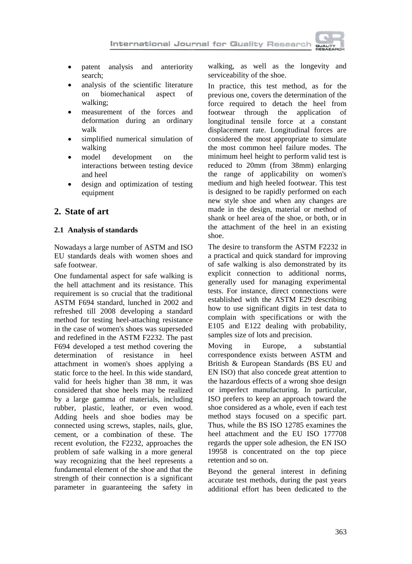

- patent analysis and anteriority search;
- analysis of the scientific literature on biomechanical aspect of walking;
- measurement of the forces and deformation during an ordinary walk
- simplified numerical simulation of walking
- model development on the interactions between testing device and heel
- design and optimization of testing equipment

## **2. State of art**

### **2.1 Analysis of standards**

Nowadays a large number of ASTM and ISO EU standards deals with women shoes and safe footwear.

One fundamental aspect for safe walking is the hell attachment and its resistance. This requirement is so crucial that the traditional ASTM F694 standard, lunched in 2002 and refreshed till 2008 developing a standard method for testing heel-attaching resistance in the case of women's shoes was superseded and redefined in the ASTM F2232. The past F694 developed a test method covering the determination of resistance in heel attachment in women's shoes applying a static force to the heel. In this wide standard, valid for heels higher than 38 mm, it was considered that shoe heels may be realized by a large gamma of materials, including rubber, plastic, leather, or even wood. Adding heels and shoe bodies may be connected using screws, staples, nails, glue, cement, or a combination of these. The recent evolution, the F2232, approaches the problem of safe walking in a more general way recognizing that the heel represents a fundamental element of the shoe and that the strength of their connection is a significant parameter in guaranteeing the safety in

walking, as well as the longevity and serviceability of the shoe.

In practice, this test method, as for the previous one, covers the determination of the force required to detach the heel from footwear through the application of longitudinal tensile force at a constant displacement rate. Longitudinal forces are considered the most appropriate to simulate the most common heel failure modes. The minimum heel height to perform valid test is reduced to 20mm (from 38mm) enlarging the range of applicability on women's medium and high heeled footwear. This test is designed to be rapidly performed on each new style shoe and when any changes are made in the design, material or method of shank or heel area of the shoe, or both, or in the attachment of the heel in an existing shoe.

The desire to transform the ASTM F2232 in a practical and quick standard for improving of safe walking is also demonstrated by its explicit connection to additional norms, generally used for managing experimental tests. For instance, direct connections were established with the ASTM E29 describing how to use significant digits in test data to complain with specifications or with the E105 and E122 dealing with probability, samples size of lots and precision.

Moving in Europe, a substantial correspondence exists between ASTM and British & European Standards (BS EU and EN ISO) that also concede great attention to the hazardous effects of a wrong shoe design or imperfect manufacturing. In particular, ISO prefers to keep an approach toward the shoe considered as a whole, even if each test method stays focused on a specific part. Thus, while the BS ISO 12785 examines the heel attachment and the EU ISO 177708 regards the upper sole adhesion, the EN ISO 19958 is concentrated on the top piece retention and so on.

Beyond the general interest in defining accurate test methods, during the past years additional effort has been dedicated to the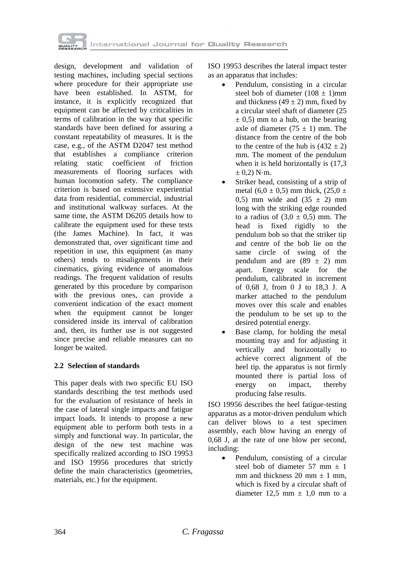

design, development and validation of testing machines, including special sections where procedure for their appropriate use have been established. In ASTM, for instance, it is explicitly recognized that equipment can be affected by criticalities in terms of calibration in the way that specific standards have been defined for assuring a constant repeatability of measures. It is the case, e.g., of the ASTM D2047 test method that establishes a compliance criterion relating static coefficient of friction measurements of flooring surfaces with human locomotion safety. The compliance criterion is based on extensive experiential data from residential, commercial, industrial and institutional walkway surfaces. At the same time, the ASTM D6205 details how to calibrate the equipment used for these tests (the James Machine). In fact, it was demonstrated that, over significant time and repetition in use, this equipment (as many others) tends to misalignments in their cinematics, giving evidence of anomalous readings. The frequent validation of results generated by this procedure by comparison with the previous ones, can provide a convenient indication of the exact moment when the equipment cannot be longer considered inside its interval of calibration and, then, its further use is not suggested since precise and reliable measures can no longer be waited.

### **2.2 Selection of standards**

This paper deals with two specific EU ISO standards describing the test methods used for the evaluation of resistance of heels in the case of lateral single impacts and fatigue impact loads. It intends to propose a new equipment able to perform both tests in a simply and functional way. In particular, the design of the new test machine was specifically realized according to ISO 19953 and ISO 19956 procedures that strictly define the main characteristics (geometries, materials, etc.) for the equipment.

ISO 19953 describes the lateral impact tester as an apparatus that includes:

- Pendulum, consisting in a circular steel bob of diameter  $(108 \pm 1)$ mm and thickness  $(49 \pm 2)$  mm, fixed by a circular steel shaft of diameter (25  $\pm$  0,5) mm to a hub, on the bearing axle of diameter  $(75 \pm 1)$  mm. The distance from the centre of the bob to the centre of the hub is  $(432 \pm 2)$ mm. The moment of the pendulum when it is held horizontally is  $(17,3)$  $\pm$  0,2) N $\cdot$ m.
- Striker head, consisting of a strip of metal (6,0  $\pm$  0,5) mm thick, (25,0  $\pm$ 0,5) mm wide and  $(35 \pm 2)$  mm long with the striking edge rounded to a radius of  $(3,0 \pm 0,5)$  mm. The head is fixed rigidly to the pendulum bob so that the striker tip and centre of the bob lie on the same circle of swing of the pendulum and are  $(89 \pm 2)$  mm apart. Energy scale for the pendulum, calibrated in increment of 0,68 J, from 0 J to 18,3 J. A marker attached to the pendulum moves over this scale and enables the pendulum to be set up to the desired potential energy.
- Base clamp, for holding the metal mounting tray and for adjusting it vertically and horizontally to achieve correct alignment of the heel tip. the apparatus is not firmly mounted there is partial loss of energy on impact, thereby producing false results.

ISO 19956 describes the heel fatigue-testing apparatus as a motor-driven pendulum which can deliver blows to a test specimen assembly, each blow having an energy of 0,68 J, at the rate of one blow per second, including:

 Pendulum, consisting of a circular steel bob of diameter  $57 \text{ mm} + 1$ mm and thickness 20 mm  $\pm$  1 mm. which is fixed by a circular shaft of diameter 12.5 mm  $\pm$  1.0 mm to a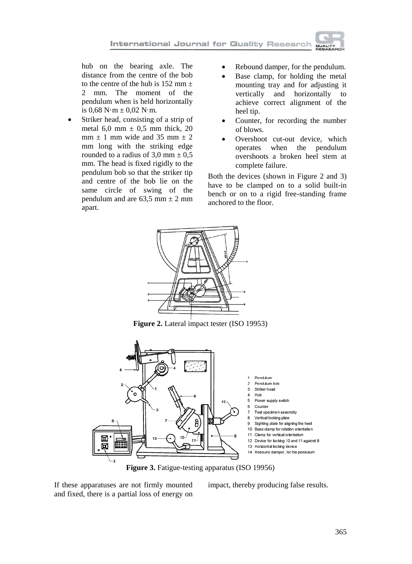hub on the bearing axle. The distance from the centre of the bob to the centre of the hub is  $152$  mm  $\pm$ 2 mm. The moment of the pendulum when is held horizontally is  $0.68 \text{ N} \cdot \text{m} \pm 0.02 \text{ N} \cdot \text{m}$ .

- Striker head, consisting of a strip of metal 6,0 mm  $\pm$  0,5 mm thick, 20  $mm \pm 1$  mm wide and 35 mm  $\pm 2$ mm long with the striking edge rounded to a radius of 3,0 mm  $\pm$  0,5 mm. The head is fixed rigidly to the pendulum bob so that the striker tip and centre of the bob lie on the same circle of swing of the pendulum and are  $63,5$  mm  $\pm$  2 mm apart.
- Rebound damper, for the pendulum.
- Base clamp, for holding the metal mounting tray and for adjusting it vertically and horizontally to achieve correct alignment of the heel tip.
- Counter, for recording the number of blows.
- Overshoot cut-out device, which operates when the pendulum overshoots a broken heel stem at complete failure.

Both the devices (shown in Figure 2 and 3) have to be clamped on to a solid built-in bench or on to a rigid free-standing frame anchored to the floor.



**Figure 2.** Lateral impact tester (ISO 19953)



**Figure 3.** Fatigue-testing apparatus (ISO 19956)

If these apparatuses are not firmly mounted and fixed, there is a partial loss of energy on impact, thereby producing false results.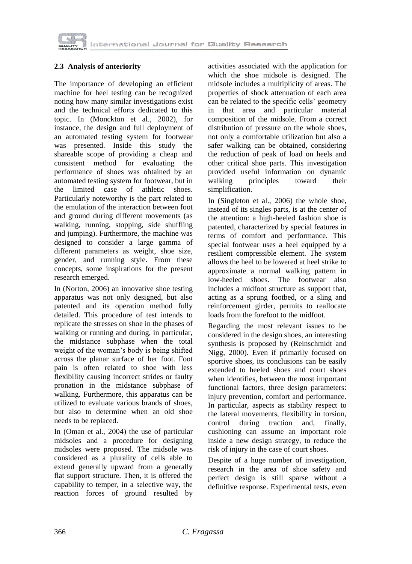

### **2.3 Analysis of anteriority**

The importance of developing an efficient machine for heel testing can be recognized noting how many similar investigations exist and the technical efforts dedicated to this topic. In (Monckton et al., 2002), for instance, the design and full deployment of an automated testing system for footwear was presented. Inside this study the shareable scope of providing a cheap and consistent method for evaluating the performance of shoes was obtained by an automated testing system for footwear, but in the limited case of athletic shoes. Particularly noteworthy is the part related to the emulation of the interaction between foot and ground during different movements (as walking, running, stopping, side shuffling and jumping). Furthermore, the machine was designed to consider a large gamma of different parameters as weight, shoe size, gender, and running style. From these concepts, some inspirations for the present research emerged.

In (Norton, 2006) an innovative shoe testing apparatus was not only designed, but also patented and its operation method fully detailed. This procedure of test intends to replicate the stresses on shoe in the phases of walking or running and during, in particular, the midstance subphase when the total weight of the woman's body is being shifted across the planar surface of her foot. Foot pain is often related to shoe with less flexibility causing incorrect strides or faulty pronation in the midstance subphase of walking. Furthermore, this apparatus can be utilized to evaluate various brands of shoes, but also to determine when an old shoe needs to be replaced.

In (Oman et al., 2004) the use of particular midsoles and a procedure for designing midsoles were proposed. The midsole was considered as a plurality of cells able to extend generally upward from a generally flat support structure. Then, it is offered the capability to temper, in a selective way, the reaction forces of ground resulted by

activities associated with the application for which the shoe midsole is designed. The midsole includes a multiplicity of areas. The properties of shock attenuation of each area can be related to the specific cells' geometry in that area and particular material composition of the midsole. From a correct distribution of pressure on the whole shoes, not only a comfortable utilization but also a safer walking can be obtained, considering the reduction of peak of load on heels and other critical shoe parts. This investigation provided useful information on dynamic walking principles toward their simplification.

In (Singleton et al., 2006) the whole shoe, instead of its singles parts, is at the center of the attention: a high-heeled fashion shoe is patented, characterized by special features in terms of comfort and performance. This special footwear uses a heel equipped by a resilient compressible element. The system allows the heel to be lowered at heel strike to approximate a normal walking pattern in low-heeled shoes. The footwear also includes a midfoot structure as support that, acting as a sprung footbed, or a sling and reinforcement girder, permits to reallocate loads from the forefoot to the midfoot.

Regarding the most relevant issues to be considered in the design shoes, an interesting synthesis is proposed by (Reinschmidt and Nigg, 2000). Even if primarily focused on sportive shoes, its conclusions can be easily extended to heeled shoes and court shoes when identifies, between the most important functional factors, three design parameters: injury prevention, comfort and performance. In particular, aspects as stability respect to the lateral movements, flexibility in torsion, control during traction and, finally, cushioning can assume an important role inside a new design strategy, to reduce the risk of injury in the case of court shoes.

Despite of a huge number of investigation, research in the area of shoe safety and perfect design is still sparse without a definitive response. Experimental tests, even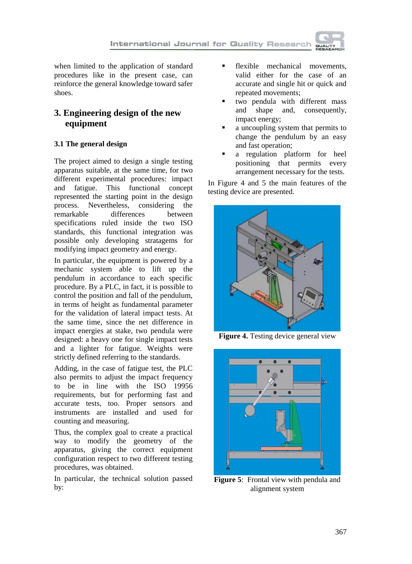

when limited to the application of standard procedures like in the present case, can reinforce the general knowledge toward safer shoes.

# **3. Engineering design of the new equipment**

## **3.1 The general design**

The project aimed to design a single testing apparatus suitable, at the same time, for two different experimental procedures: impact and fatigue. This functional concept represented the starting point in the design process. Nevertheless, considering the remarkable differences between specifications ruled inside the two ISO standards, this functional integration was possible only developing stratagems for modifying impact geometry and energy.

In particular, the equipment is powered by a mechanic system able to lift up the pendulum in accordance to each specific procedure. By a PLC, in fact, it is possible to control the position and fall of the pendulum, in terms of height as fundamental parameter for the validation of lateral impact tests. At the same time, since the net difference in impact energies at stake, two pendula were designed: a heavy one for single impact tests and a lighter for fatigue. Weights were strictly defined referring to the standards.

Adding, in the case of fatigue test, the PLC also permits to adjust the impact frequency to be in line with the ISO 19956 requirements, but for performing fast and accurate tests, too. Proper sensors and instruments are installed and used for counting and measuring.

Thus, the complex goal to create a practical way to modify the geometry of the apparatus, giving the correct equipment configuration respect to two different testing procedures, was obtained.

In particular, the technical solution passed by:

- flexible mechanical movements, valid either for the case of an accurate and single hit or quick and repeated movements;
- two pendula with different mass and shape and, consequently, impact energy;
- a uncoupling system that permits to change the pendulum by an easy and fast operation;
- a regulation platform for heel positioning that permits every arrangement necessary for the tests.

In Figure 4 and 5 the main features of the testing device are presented.



**Figure 4.** Testing device general view



**Figure 5**: Frontal view with pendula and alignment system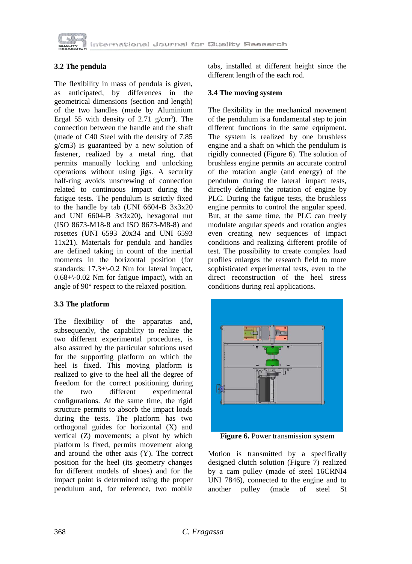

## **3.2 The pendula**

The flexibility in mass of pendula is given, as anticipated, by differences in the geometrical dimensions (section and length) of the two handles (made by Aluminium Ergal 55 with density of 2.71  $g/cm<sup>3</sup>$ ). The connection between the handle and the shaft (made of C40 Steel with the density of 7.85 g/cm3) is guaranteed by a new solution of fastener, realized by a metal ring, that permits manually locking and unlocking operations without using jigs. A security half-ring avoids unscrewing of connection related to continuous impact during the fatigue tests. The pendulum is strictly fixed to the handle by tab (UNI 6604-B 3x3x20 and UNI 6604-B 3x3x20), hexagonal nut (ISO 8673-M18-8 and ISO 8673-M8-8) and rosettes (UNI 6593 20x34 and UNI 6593 11x21). Materials for pendula and handles are defined taking in count of the inertial moments in the horizontal position (for standards: 17.3+\-0.2 Nm for lateral impact, 0.68+\-0.02 Nm for fatigue impact), with an angle of 90° respect to the relaxed position.

### **3.3 The platform**

The flexibility of the apparatus and, subsequently, the capability to realize the two different experimental procedures, is also assured by the particular solutions used for the supporting platform on which the heel is fixed. This moving platform is realized to give to the heel all the degree of freedom for the correct positioning during the two different experimental configurations. At the same time, the rigid structure permits to absorb the impact loads during the tests. The platform has two orthogonal guides for horizontal (X) and vertical (Z) movements; a pivot by which platform is fixed, permits movement along and around the other axis (Y). The correct position for the heel (its geometry changes for different models of shoes) and for the impact point is determined using the proper pendulum and, for reference, two mobile

tabs, installed at different height since the different length of the each rod.

#### **3.4 The moving system**

The flexibility in the mechanical movement of the pendulum is a fundamental step to join different functions in the same equipment. The system is realized by one brushless engine and a shaft on which the pendulum is rigidly connected (Figure 6). The solution of brushless engine permits an accurate control of the rotation angle (and energy) of the pendulum during the lateral impact tests, directly defining the rotation of engine by PLC. During the fatigue tests, the brushless engine permits to control the angular speed. But, at the same time, the PLC can freely modulate angular speeds and rotation angles even creating new sequences of impact conditions and realizing different profile of test. The possibility to create complex load profiles enlarges the research field to more sophisticated experimental tests, even to the direct reconstruction of the heel stress conditions during real applications.



**Figure 6.** Power transmission system

I

Motion is transmitted by a specifically designed clutch solution (Figure 7) realized by a cam pulley (made of steel 16CRNI4 UNI 7846), connected to the engine and to another pulley (made of steel St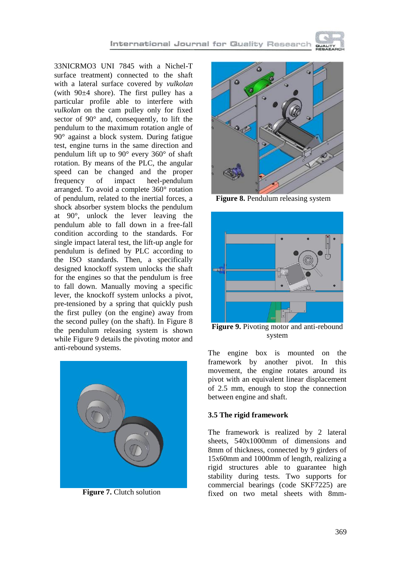International Journal for Quality Research

33NICRMO3 UNI 7845 with a Nichel-T surface treatment) connected to the shaft with a lateral surface covered by *vulkolan* (with  $90±4$  shore). The first pulley has a particular profile able to interfere with *vulkolan* on the cam pulley only for fixed sector of 90° and, consequently, to lift the pendulum to the maximum rotation angle of 90° against a block system. During fatigue test, engine turns in the same direction and pendulum lift up to 90° every 360° of shaft rotation. By means of the PLC, the angular speed can be changed and the proper frequency of impact heel-pendulum arranged. To avoid a complete 360° rotation of pendulum, related to the inertial forces, a shock absorber system blocks the pendulum at 90°, unlock the lever leaving the pendulum able to fall down in a free-fall condition according to the standards. For single impact lateral test, the lift-up angle for pendulum is defined by PLC according to the ISO standards. Then, a specifically designed knockoff system unlocks the shaft for the engines so that the pendulum is free to fall down. Manually moving a specific lever, the knockoff system unlocks a pivot, pre-tensioned by a spring that quickly push the first pulley (on the engine) away from the second pulley (on the shaft). In Figure 8 the pendulum releasing system is shown while Figure 9 details the pivoting motor and anti-rebound systems.



**Figure 7.** Clutch solution



**Figure 8.** Pendulum releasing system



**Figure 9.** Pivoting motor and anti-rebound system

The engine box is mounted on the framework by another pivot. In this movement, the engine rotates around its pivot with an equivalent linear displacement of 2.5 mm, enough to stop the connection between engine and shaft.

#### **3.5 The rigid framework**

The framework is realized by 2 lateral sheets, 540x1000mm of dimensions and 8mm of thickness, connected by 9 girders of 15x60mm and 1000mm of length, realizing a rigid structures able to guarantee high stability during tests. Two supports for commercial bearings (code SKF7225) are fixed on two metal sheets with 8mm-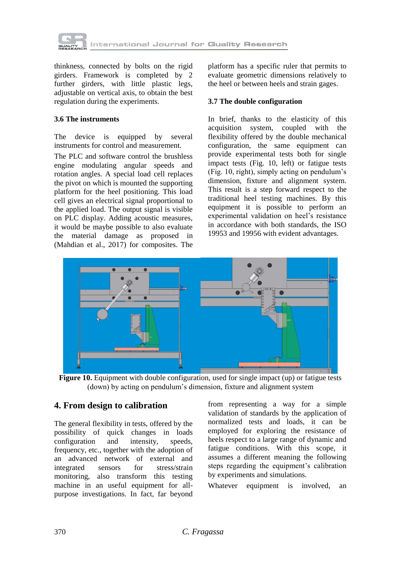

thinkness, connected by bolts on the rigid girders. Framework is completed by 2 further girders, with little plastic legs, adjustable on vertical axis, to obtain the best regulation during the experiments.

### **3.6 The instruments**

The device is equipped by several instruments for control and measurement.

The PLC and software control the brushless engine modulating angular speeds and rotation angles. A special load cell replaces the pivot on which is mounted the supporting platform for the heel positioning. This load cell gives an electrical signal proportional to the applied load. The output signal is visible on PLC display. Adding acoustic measures, it would be maybe possible to also evaluate the material damage as proposed in (Mahdian et al., 2017) for composites. The platform has a specific ruler that permits to evaluate geometric dimensions relatively to the heel or between heels and strain gages.

#### **3.7 The double configuration**

In brief, thanks to the elasticity of this acquisition system, coupled with the flexibility offered by the double mechanical configuration, the same equipment can provide experimental tests both for single impact tests (Fig. 10, left) or fatigue tests (Fig. 10, right), simply acting on pendulum's dimension, fixture and alignment system. This result is a step forward respect to the traditional heel testing machines. By this equipment it is possible to perform an experimental validation on heel's resistance in accordance with both standards, the ISO 19953 and 19956 with evident advantages.



Figure 10. Equipment with double configuration, used for single impact (up) or fatigue tests (down) by acting on pendulum's dimension, fixture and alignment system

## **4. From design to calibration**

The general flexibility in tests, offered by the possibility of quick changes in loads configuration and intensity, speeds, frequency, etc., together with the adoption of an advanced network of external and integrated sensors for stress/strain monitoring, also transform this testing machine in an useful equipment for allpurpose investigations. In fact, far beyond

from representing a way for a simple validation of standards by the application of normalized tests and loads, it can be employed for exploring the resistance of heels respect to a large range of dynamic and fatigue conditions. With this scope, it assumes a different meaning the following steps regarding the equipment's calibration by experiments and simulations.

Whatever equipment is involved, an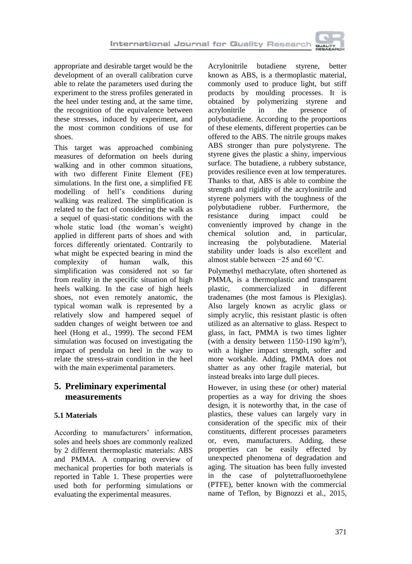

appropriate and desirable target would be the development of an overall calibration curve able to relate the parameters used during the experiment to the stress profiles generated in the heel under testing and, at the same time, the recognition of the equivalence between these stresses, induced by experiment, and the most common conditions of use for shoes.

This target was approached combining measures of deformation on heels during walking and in other common situations, with two different Finite Element (FE) simulations. In the first one, a simplified FE modelling of hell's conditions during walking was realized. The simplification is related to the fact of considering the walk as a sequel of quasi-static conditions with the whole static load (the woman's weight) applied in different parts of shoes and with forces differently orientated. Contrarily to what might be expected bearing in mind the complexity of human walk, this simplification was considered not so far from reality in the specific situation of high heels walking. In the case of high heels shoes, not even remotely anatomic, the typical woman walk is represented by a relatively slow and hampered sequel of sudden changes of weight between toe and heel (Hong et al., 1999). The second FEM simulation was focused on investigating the impact of pendula on heel in the way to relate the stress-strain condition in the heel with the main experimental parameters.

## **5. Preliminary experimental measurements**

## **5.1 Materials**

According to manufacturers' information, soles and heels shoes are commonly realized by 2 different thermoplastic materials: ABS and PMMA. A comparing overview of mechanical properties for both materials is reported in Table 1. These properties were used both for performing simulations or evaluating the experimental measures.

Acrylonitrile butadiene styrene, better known as ABS, is a thermoplastic material, commonly used to produce light, but stiff products by moulding processes. It is obtained by polymerizing styrene and acrylonitrile in the presence of polybutadiene. According to the proportions of these elements, different properties can be offered to the ABS. The nitrile groups makes ABS stronger than pure polystyrene. The styrene gives the plastic a shiny, impervious surface. The butadiene, a rubbery substance, provides resilience even at low temperatures. Thanks to that, ABS is able to combine the strength and rigidity of the acrylonitrile and styrene polymers with the toughness of the polybutadiene rubber. Furthermore, the resistance during impact could be conveniently improved by change in the chemical solution and, in particular, increasing the polybutadiene. Material stability under loads is also excellent and almost stable between  $-25$  and 60 °C.

Polymethyl methacrylate, often shortened as PMMA, is a thermoplastic and transparent plastic, commercialized in different tradenames (the most famous is Plexiglas). Also largely known as acrylic glass or simply acrylic, this resistant plastic is often utilized as an alternative to glass. Respect to glass, in fact, PMMA is two times lighter (with a density between  $1150-1190 \text{ kg/m}^3$ ), with a higher impact strength, softer and more workable. Adding, PMMA does not shatter as any other fragile material, but instead breaks into large dull pieces.

However, in using these (or other) material properties as a way for driving the shoes design, it is noteworthy that, in the case of plastics, these values can largely vary in consideration of the specific mix of their constituents, different processes parameters or, even, manufacturers. Adding, these properties can be easily effected by unexpected phenomena of degradation and aging. The situation has been fully invested in the case of polytetrafluoroethylene (PTFE), better known with the commercial name of Teflon, by Bignozzi et al., 2015,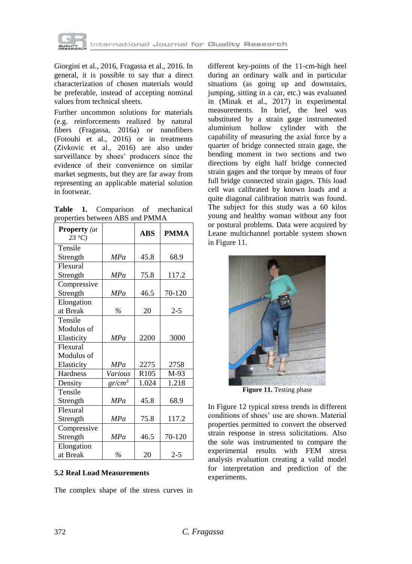

Giorgini et al., 2016, Fragassa et al., 2016. In general, it is possible to say that a direct characterization of chosen materials would be preferable, instead of accepting nominal values from technical sheets.

Further uncommon solutions for materials (e.g. reinforcements realized by natural fibers (Fragassa, 2016a) or nanofibers (Fotouhi et al., 2016) or in treatments (Zivkovic et al., 2016) are also under surveillance by shoes' producers since the evidence of their convenience on similar market segments, but they are far away from representing an applicable material solution in footwear.

**Table 1.** Comparison of mechanical properties between ABS and PMMA

| <b>Property</b> (at<br>$23^{\circ}C$ |            | <b>ABS</b>       | <b>PMMA</b> |
|--------------------------------------|------------|------------------|-------------|
| Tensile                              |            |                  |             |
| Strength                             | <b>MPa</b> | 45.8             | 68.9        |
| Flexural                             |            |                  |             |
| Strength                             | MPa        | 75.8             | 117.2       |
| Compressive                          |            |                  |             |
| Strength                             | MPa        | 46.5             | 70-120      |
| Elongation                           |            |                  |             |
| at Break                             | $\%$       | 20               | $2 - 5$     |
| Tensile                              |            |                  |             |
| Modulus of                           |            |                  |             |
| Elasticity                           | MPa        | 2200             | 3000        |
| Flexural                             |            |                  |             |
| Modulus of                           |            |                  |             |
| Elasticity                           | MPa        | 2275             | 2758        |
| Hardness                             | Various    | R <sub>105</sub> | $M-93$      |
| Density                              | $gr/cm^3$  | 1.024            | 1.218       |
| Tensile                              |            |                  |             |
| Strength                             | MPa        | 45.8             | 68.9        |
| Flexural                             |            |                  |             |
| Strength                             | MPa        | 75.8             | 117.2       |
| Compressive                          |            |                  |             |
| Strength                             | MPa        | 46.5             | 70-120      |
| Elongation                           |            |                  |             |
| at Break                             | $\%$       | 20               | $2 - 5$     |

### **5.2 Real Load Measurements**

The complex shape of the stress curves in

different key-points of the 11-cm-high heel during an ordinary walk and in particular situations (as going up and downstairs, jumping, sitting in a car, etc.) was evaluated in (Minak et al., 2017) in experimental measurements. In brief, the heel was substituted by a strain gage instrumented aluminium hollow cylinder with the capability of measuring the axial force by a quarter of bridge connected strain gage, the bending moment in two sections and two directions by eight half bridge connected strain gages and the torque by means of four full bridge connected strain gages. This load cell was calibrated by known loads and a quite diagonal calibration matrix was found. The subject for this study was a 60 kilos young and healthy woman without any foot or postural problems. Data were acquired by Leane multichannel portable system shown in Figure 11.



**Figure 11.** Testing phase

In Figure 12 typical stress trends in different conditions of shoes' use are shown. Material properties permitted to convert the observed strain response in stress solicitations. Also the sole was instrumented to compare the experimental results with FEM stress analysis evaluation creating a valid model for interpretation and prediction of the experiments.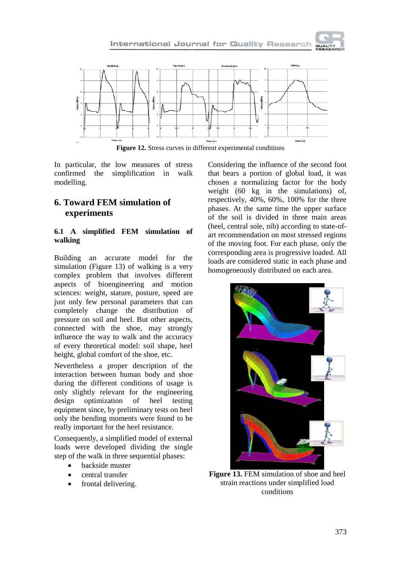



**Figure 12.** Stress curves in different experimental conditions

In particular, the low measures of stress confirmed the simplification in walk modelling.

# **6. Toward FEM simulation of experiments**

### **6.1 A simplified FEM simulation of walking**

Building an accurate model for the simulation (Figure 13) of walking is a very complex problem that involves different aspects of bioengineering and motion sciences: weight, stature, posture, speed are just only few personal parameters that can completely change the distribution of pressure on soil and heel. But other aspects, connected with the shoe, may strongly influence the way to walk and the accuracy of every theoretical model: soil shape, heel height, global comfort of the shoe, etc.

Nevertheless a proper description of the interaction between human body and shoe during the different conditions of usage is only slightly relevant for the engineering design optimization of heel testing equipment since, by preliminary tests on heel only the bending moments were found to be really important for the heel resistance.

Consequently, a simplified model of external loads were developed dividing the single step of the walk in three sequential phases:

- backside muster
- central transfer
- frontal delivering.

Considering the influence of the second foot that bears a portion of global load, it was chosen a normalizing factor for the body weight (60 kg in the simulations) of, respectively, 40%, 60%, 100% for the three phases. At the same time the upper surface of the soil is divided in three main areas (heel, central sole, nib) according to state-ofart recommendation on most stressed regions of the moving foot. For each phase, only the corresponding area is progressive loaded. All loads are considered static in each phase and homogeneously distributed on each area.



**Figure 13.** FEM simulation of shoe and heel strain reactions under simplified load conditions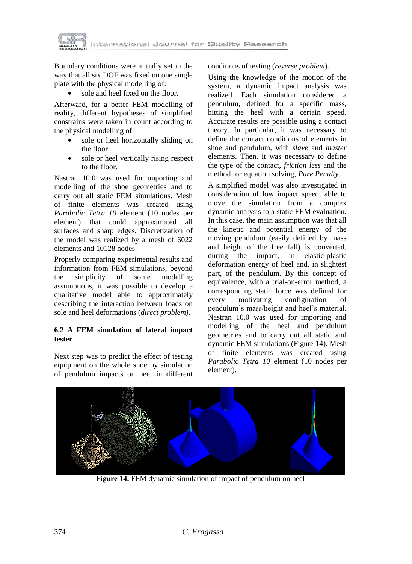

Boundary conditions were initially set in the way that all six DOF was fixed on one single plate with the physical modelling of:

sole and heel fixed on the floor.

Afterward, for a better FEM modelling of reality, different hypotheses of simplified constrains were taken in count according to the physical modelling of:

- sole or heel horizontally sliding on the floor
- sole or heel vertically rising respect to the floor.

Nastran 10.0 was used for importing and modelling of the shoe geometries and to carry out all static FEM simulations. Mesh of finite elements was created using *Parabolic Tetra 10* element (10 nodes per element) that could approximated all surfaces and sharp edges. Discretization of the model was realized by a mesh of 6022 elements and 10128 nodes.

Properly comparing experimental results and information from FEM simulations, beyond the simplicity of some modelling assumptions, it was possible to develop a qualitative model able to approximately describing the interaction between loads on sole and heel deformations (*direct problem)*.

### **6.2 A FEM simulation of lateral impact tester**

Next step was to predict the effect of testing equipment on the whole shoe by simulation of pendulum impacts on heel in different

#### conditions of testing (*reverse problem*).

Using the knowledge of the motion of the system, a dynamic impact analysis was realized. Each simulation considered a pendulum, defined for a specific mass, hitting the heel with a certain speed. Accurate results are possible using a contact theory. In particular, it was necessary to define the contact conditions of elements in shoe and pendulum, with *slave* and *master*  elements. Then, it was necessary to define the type of the contact, *friction less* and the method for equation solving, *Pure Penalty.*

A simplified model was also investigated in consideration of low impact speed, able to move the simulation from a complex dynamic analysis to a static FEM evaluation. In this case, the main assumption was that all the kinetic and potential energy of the moving pendulum (easily defined by mass and height of the free fall) is converted, during the impact, in elastic-plastic deformation energy of heel and, in slightest part, of the pendulum. By this concept of equivalence, with a trial-on-error method, a corresponding static force was defined for every motivating configuration of pendulum's mass/height and heel's material. Nastran 10.0 was used for importing and modelling of the heel and pendulum geometries and to carry out all static and dynamic FEM simulations (Figure 14). Mesh of finite elements was created using *Parabolic Tetra 10* element (10 nodes per element).



**Figure 14.** FEM dynamic simulation of impact of pendulum on heel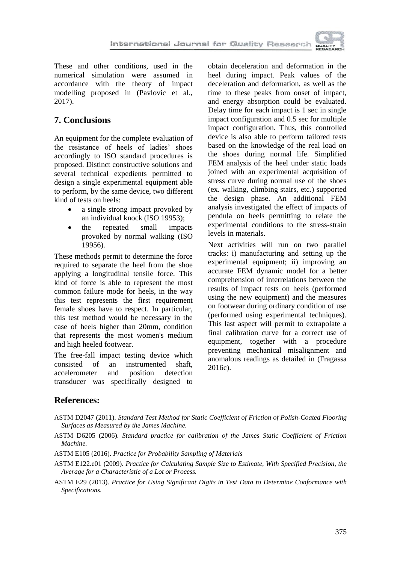These and other conditions, used in the numerical simulation were assumed in accordance with the theory of impact modelling proposed in (Pavlovic et al., 2017).

## **7. Conclusions**

An equipment for the complete evaluation of the resistance of heels of ladies' shoes accordingly to ISO standard procedures is proposed. Distinct constructive solutions and several technical expedients permitted to design a single experimental equipment able to perform, by the same device, two different kind of tests on heels:

- a single strong impact provoked by an individual knock (ISO 19953);
- the repeated small impacts provoked by normal walking (ISO 19956).

These methods permit to determine the force required to separate the heel from the shoe applying a longitudinal tensile force. This kind of force is able to represent the most common failure mode for heels, in the way this test represents the first requirement female shoes have to respect. In particular, this test method would be necessary in the case of heels higher than 20mm, condition that represents the most women's medium and high heeled footwear.

The free-fall impact testing device which consisted of an instrumented shaft, accelerometer and position detection transducer was specifically designed to

obtain deceleration and deformation in the heel during impact. Peak values of the deceleration and deformation, as well as the time to these peaks from onset of impact, and energy absorption could be evaluated. Delay time for each impact is 1 sec in single impact configuration and 0.5 sec for multiple impact configuration. Thus, this controlled device is also able to perform tailored tests based on the knowledge of the real load on the shoes during normal life. Simplified FEM analysis of the heel under static loads joined with an experimental acquisition of stress curve during normal use of the shoes (ex. walking, climbing stairs, etc.) supported the design phase. An additional FEM analysis investigated the effect of impacts of pendula on heels permitting to relate the experimental conditions to the stress-strain levels in materials.

Next activities will run on two parallel tracks: i) manufacturing and setting up the experimental equipment; ii) improving an accurate FEM dynamic model for a better comprehension of interrelations between the results of impact tests on heels (performed using the new equipment) and the measures on footwear during ordinary condition of use (performed using experimental techniques). This last aspect will permit to extrapolate a final calibration curve for a correct use of equipment, together with a procedure preventing mechanical misalignment and anomalous readings as detailed in (Fragassa 2016c).

## **References:**

- ASTM D2047 (2011). *Standard Test Method for Static Coefficient of Friction of Polish-Coated Flooring Surfaces as Measured by the James Machine.*
- ASTM D6205 (2006). *Standard practice for calibration of the James Static Coefficient of Friction Machine.*

ASTM E105 (2016). *Practice for Probability Sampling of Materials*

ASTM E122.e01 (2009). *Practice for Calculating Sample Size to Estimate, With Specified Precision, the Average for a Characteristic of a Lot or Process.*

ASTM E29 (2013). *Practice for Using Significant Digits in Test Data to Determine Conformance with Specifications.*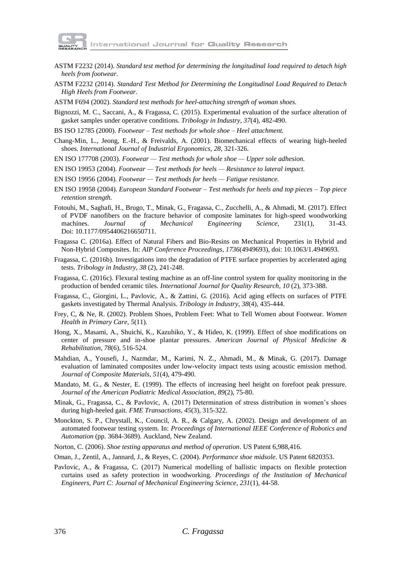

- ASTM F2232 (2014). *Standard test method for determining the longitudinal load required to detach high heels from footwear.*
- ASTM F2232 (2014). *Standard Test Method for Determining the Longitudinal Load Required to Detach High Heels from Footwear*.

ASTM F694 (2002). *Standard test methods for heel-attaching strength of woman shoes.*

Bignozzi, M. C., Saccani, A., & Fragassa, C. (2015). Experimental evaluation of the surface alteration of gasket samples under operative conditions. *Tribology in Industry*, *37*(4), 482-490.

BS ISO 12785 (2000). *Footwear – Test methods for whole shoe – Heel attachment.*

- Chang-Min, L., Jeong, E.-H., & Freivalds, A. (2001). Biomechanical effects of wearing high-heeled shoes. *International Journal of Industrial Ergonomics*, *28*, 321-326.
- EN ISO 177708 (2003). *Footwear — Test methods for whole shoe — Upper sole adhesion.*
- EN ISO 19953 (2004). *Footwear — Test methods for heels — Resistance to lateral impact.*
- EN ISO 19956 (2004). *Footwear — Test methods for heels — Fatigue resistance.*
- EN ISO 19958 (2004). *European Standard Footwear – Test methods for heels and top pieces – Top piece retention strength.*
- Fotouhi, M., Saghafi, H., Brugo, T., Minak, G., Fragassa, C., Zucchelli, A., & Ahmadi, M. (2017). Effect of PVDF nanofibers on the fracture behavior of composite laminates for high-speed woodworking machines. *Journal of Mechanical Engineering Science*, 231(1), 31-43. Doi: 10.1177/0954406216650711.
- Fragassa C. (2016a). Effect of Natural Fibers and Bio-Resins on Mechanical Properties in Hybrid and Non-Hybrid Composites. In: *AIP Conference Proceedings*, *1736*(4949693), doi: 10.1063/1.4949693.
- Fragassa, C. (2016b). Investigations into the degradation of PTFE surface properties by accelerated aging tests. *Tribology in Industry*, *38* (2), 241-248.
- Fragassa, C. (2016c). Flexural testing machine as an off-line control system for quality monitoring in the production of bended ceramic tiles. *International Journal for Quality Research*, *10* (2), 373-388.
- Fragassa, C., Giorgini, L., Pavlovic, A., & Zattini, G. (2016). Acid aging effects on surfaces of PTFE gaskets investigated by Thermal Analysis. *Tribology in Industry*, *38*(4), 435-444.
- Frey, C, & Ne, R. (2002). Problem Shoes, Problem Feet: What to Tell Women about Footwear. *Women Health in Primary Care*, *5*(11).
- Hong, X., Masami, A., Shuichi, K., Kazuhiko, Y., & Hideo, K. (1999). Effect of shoe modifications on center of pressure and in-shoe plantar pressures. *American Journal of Physical Medicine & Rehabilitation*, *78*(6), 516-524.
- Mahdian, A., Yousefi, J., Nazmdar, M., Karimi, N. Z., Ahmadi, M., & Minak, G. (2017). Damage evaluation of laminated composites under low-velocity impact tests using acoustic emission method. *Journal of Composite Materials*, *51*(4), 479-490.
- Mandato, M. G., & Nester, E. (1999). The effects of increasing heel height on forefoot peak pressure. *Journal of the American Podiatric Medical Association*, *89*(2), 75-80.
- Minak, G., Fragassa, C., & Pavlovic, A. (2017) Determination of stress distribution in women's shoes during high-heeled gait. *FME Transactions*, *45*(3), 315-322.
- Monckton, S. P., Chrystall, K., Council, A. R., & Calgary, A. (2002). Design and development of an automated footwear testing system. In: *Proceedings of International IEEE Conference of Robotics and Automation* (pp. 3684-3689). Auckland, New Zealand.
- Norton, C. (2006). *Shoe testing apparatus and method of operation*. US Patent 6,988,416.
- Oman, J., Zentil, A., Jannard, J., & Reyes, C. (2004). *Performance shoe midsole*. US Patent 6820353.
- Pavlovic, A., & Fragassa, C. (2017) Numerical modelling of ballistic impacts on flexible protection curtains used as safety protection in woodworking. *Proceedings of the Institution of Mechanical Engineers, Part C: Journal of Mechanical Engineering Science*, *231*(1), 44-58.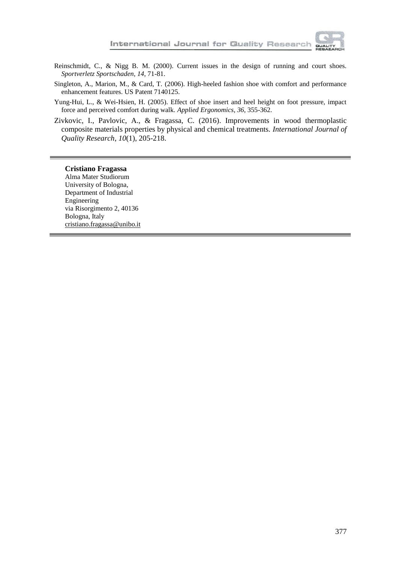

- Reinschmidt, C., & Nigg B. M. (2000). Current issues in the design of running and court shoes. *Sportverletz Sportschaden*, *14*, 71-81.
- Singleton, A., Marion, M., & Card, T. (2006). High-heeled fashion shoe with comfort and performance enhancement features. US Patent 7140125.
- Yung-Hui, L., & Wei-Hsien, H. (2005). Effect of shoe insert and heel height on foot pressure, impact force and perceived comfort during walk. *Applied Ergonomics*, *36*, 355-362.
- Zivkovic, I., Pavlovic, A., & Fragassa, C. (2016). Improvements in wood thermoplastic composite materials properties by physical and chemical treatments. *International Journal of Quality Research*, *10*(1), 205-218.

#### **Cristiano Fragassa**

Alma Mater Studiorum University of Bologna, Department of Industrial Engineering via Risorgimento 2, 40136 Bologna, Italy cristiano.fragassa@unibo.it